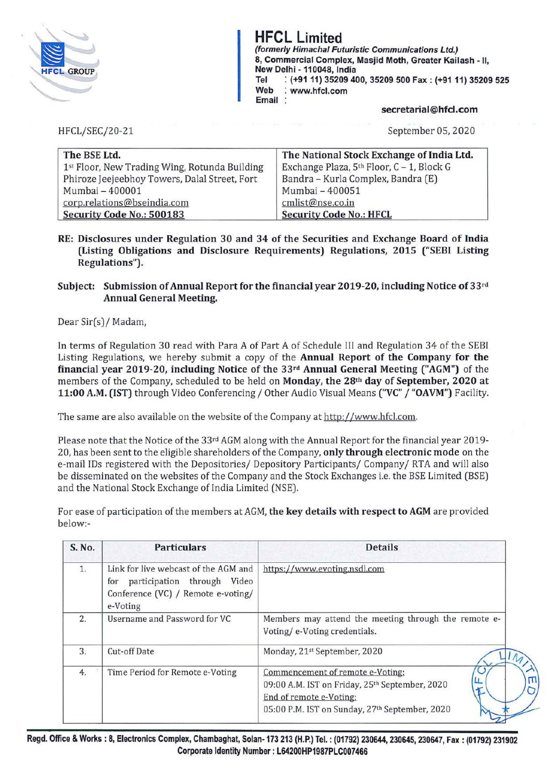

# **HFCL Limited**

**{formerly Himachal Futuristic Communications Ltd.) 8, Commercial Complex, Masjid Moth, Greater Kailash** - II, **New Delhi -110048, India Tel** : **(+91 11) 35209 400, 35209 500 Fax: (+9111) 35209 525 Web** : **www.hfcl.com Email** :

# **secretarial@hfcl.com**

HFCL/SEC/20-21

September 05, 2020

| The BSE Ltd.                                  | The National Stock Exchange of India Ltd. |
|-----------------------------------------------|-------------------------------------------|
| 1st Floor, New Trading Wing, Rotunda Building | Exchange Plaza, 5th Floor, C - 1, Block G |
| Phiroze Jeejeebhoy Towers, Dalal Street, Fort | Bandra - Kurla Complex, Bandra (E)        |
| Mumbai - 400001                               | Mumbai - 400051                           |
| corp.relations@bseindia.com                   | cmlist@nse.co.in                          |
| Security Code No.: 500183                     | <b>Security Code No.: HFCL</b>            |

**RE: Disclosures under Regulation 30 and 34 of the Securities and Exchange Board of India (Listing Obligations and Disclosure Requirements) Regulations, 2015 ("SEBI Listing Regulations").** 

# **Subject: Submission of Annual Report for the financial year 2019-20, including Notice of 33rd Annual General Meeting.**

Dear Sir(s)/ Madam,

In terms of Regulation 30 read with Para A of Part A of Schedule III and Regulation 34 of the SEBI Listing Regulations, we hereby submit a copy of the **Annual Report of the Company for the financial year 2019-20, including Notice of the 33rd Annual General Meeting ("AGM")** of the members of the Company, scheduled to be held on **Monday, the 28th day of September, 2020 at 11:00 A.M. (1ST)** through Video Conferencing/ Other Audio Visual Means **("VC"** / **"OAVM")** Facility.

The same are also available on the website of the Company at http://www.hfcl.com.

Please note that the Notice of the 33rd AGM along with the Annual Report for the financial year 2019- 20, has been sentto the eligible shareholders of the Company, **only through electronic mode** on the e-mail IDs registered with the Depositories/ Depository Participants/ Company/ RTA and will also be disseminated on the websites of the Company and the Stock Exchanges i.e. the BSE Limited (BSE) and the National Stock Exchange of India Limited (NSE).

For ease of participation of the members at AGM, **the key details with respect to AGM** are provided below:-

| S. No. | <b>Particulars</b>                                                                                                           | <b>Details</b>                                                                                                                                                  |
|--------|------------------------------------------------------------------------------------------------------------------------------|-----------------------------------------------------------------------------------------------------------------------------------------------------------------|
| 1.     | Link for live webcast of the AGM and<br>participation through Video<br>for<br>Conference (VC) / Remote e-voting/<br>e-Voting | https://www.evoting.nsdl.com                                                                                                                                    |
| 2.     | Username and Password for VC                                                                                                 | Members may attend the meeting through the remote e-<br>Voting/e-Voting credentials.                                                                            |
| 3.     | Cut-off Date                                                                                                                 | Monday, 21st September, 2020                                                                                                                                    |
| 4.     | Time Period for Remote e-Voting                                                                                              | Commencement of remote e-Voting:<br>09:00 A.M. IST on Friday, 25th September, 2020<br>End of remote e-Voting:<br>05:00 P.M. IST on Sunday, 27th September, 2020 |

**Regd. Office** & **Works: 8, Electronics Complex, Chambaghat, Solan-173 213 (H.P.) Tel.: (01792) 230644, 230645, 230647, Fax: (01792) 231902 Corporate Identity Number: L64200HP1987PLC007466**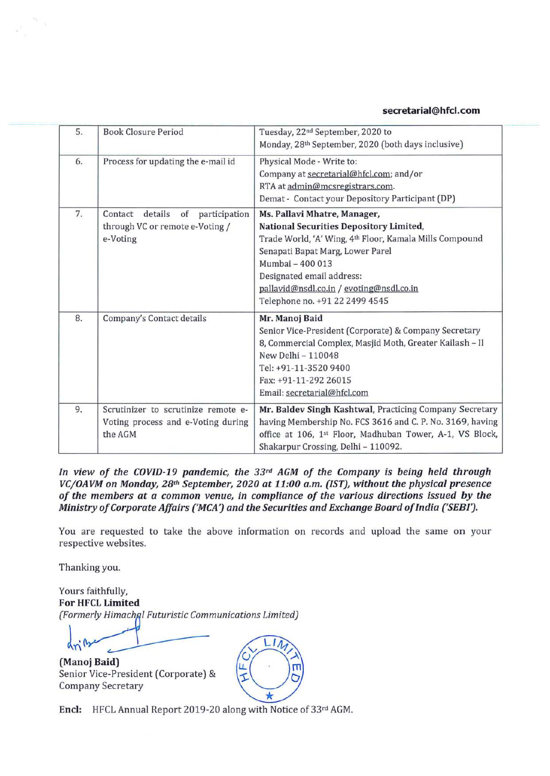# **secretarial@hfcl.com**

| 5.<br><b>Book Closure Period</b>         |                                           | Tuesday, 22 <sup>nd</sup> September, 2020 to              |  |
|------------------------------------------|-------------------------------------------|-----------------------------------------------------------|--|
|                                          |                                           | Monday, 28th September, 2020 (both days inclusive)        |  |
| 6.<br>Process for updating the e-mail id |                                           | Physical Mode - Write to:                                 |  |
|                                          |                                           | Company at secretarial@hfcl.com; and/or                   |  |
|                                          |                                           | RTA at admin@mcsregistrars.com.                           |  |
|                                          |                                           | Demat - Contact your Depository Participant (DP)          |  |
| 7.                                       | details<br>Contact<br>of<br>participation | Ms. Pallavi Mhatre, Manager,                              |  |
|                                          | through VC or remote e-Voting /           | National Securities Depository Limited,                   |  |
|                                          | e-Voting                                  | Trade World, 'A' Wing, 4th Floor, Kamala Mills Compound   |  |
|                                          |                                           | Senapati Bapat Marg, Lower Parel                          |  |
|                                          |                                           | Mumbai - 400 013                                          |  |
|                                          |                                           | Designated email address:                                 |  |
|                                          |                                           | pallavid@nsdl.co.in / evoting@nsdl.co.in                  |  |
|                                          |                                           | Telephone no. +91 22 2499 4545                            |  |
| 8.                                       | Company's Contact details                 | Mr. Manoj Baid                                            |  |
|                                          |                                           | Senior Vice-President (Corporate) & Company Secretary     |  |
|                                          |                                           | 8, Commercial Complex, Masjid Moth, Greater Kailash - II  |  |
|                                          |                                           | New Delhi - 110048                                        |  |
|                                          |                                           | Tel: +91-11-3520 9400                                     |  |
|                                          |                                           | Fax: +91-11-292 26015                                     |  |
|                                          |                                           | Email: secretarial@hfcl.com                               |  |
| 9.                                       | Scrutinizer to scrutinize remote e-       | Mr. Baldev Singh Kashtwal, Practicing Company Secretary   |  |
|                                          | Voting process and e-Voting during        | having Membership No. FCS 3616 and C. P. No. 3169, having |  |
|                                          | the AGM                                   | office at 106, 1st Floor, Madhuban Tower, A-1, VS Block,  |  |
|                                          |                                           | Shakarpur Crossing, Delhi - 110092.                       |  |

*In view of the COVID-19 pandemic, the 33rd AGM of the Company is being held through VC/OAVM on Monday, 28th September, 2020 at 11:00 a.m. (1ST), without the physical presence of the members at a common venue, in compliance of the various directions issued* **by** *the Ministry of Corporate Affairs ('MCA') and the Securities and Exchange Board of India ('SEBIJ.* 

You are requested to take the above information on records and upload the same on your respective websites.

Thanking you.

Yours faithfully, **For HFCL Limited**  Friendship of corporate *Affairs* (*Fickry* and the secarate You are requested to take the above information of respective websites.<br>
Thanking you.<br>
Yours faithfully,<br> **For HFCL Limited** (*Formerly Himachal Futuristic Comm* 

**(Manoj Baid) LL.** . Senior Vice-President (Corporate) & Company Secretary



**Encl:** HFCL Annual Report 2019-20 along with Notice of 33rd AGM.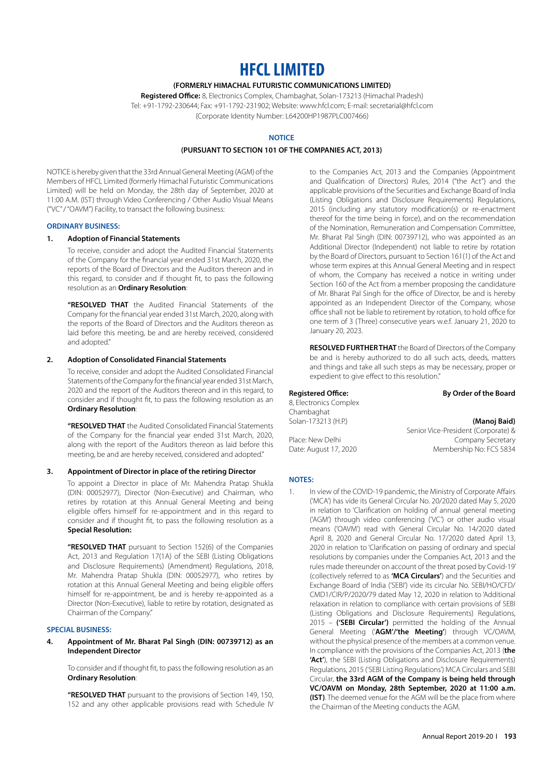# **HFCL LIMITED**

# **(FORMERLY HIMACHAL FUTURISTIC COMMUNICATIONS LIMITED)**

**Registered Office:** 8, Electronics Complex, Chambaghat, Solan-173213 (Himachal Pradesh) Tel: +91-1792-230644; Fax: +91-1792-231902; Website: www.hfcl.com; E-mail: secretarial@hfcl.com (Corporate Identity Number: L64200HP1987PLC007466)

## **NOTICE**

#### **(PURSUANT TO SECTION 101 OF THE COMPANIES ACT, 2013)**

NOTICE is hereby given that the 33rd Annual General Meeting (AGM) of the Members of HFCL Limited (formerly Himachal Futuristic Communications Limited) will be held on Monday, the 28th day of September, 2020 at 11:00 A.M. (IST) through Video Conferencing / Other Audio Visual Means ("VC" / "OAVM") Facility, to transact the following business:

#### **ORDINARY BUSINESS:**

#### **1. Adoption of Financial Statements**

To receive, consider and adopt the Audited Financial Statements of the Company for the financial year ended 31st March, 2020, the reports of the Board of Directors and the Auditors thereon and in this regard, to consider and if thought fit, to pass the following resolution as an **Ordinary Resolution**:

**"RESOLVED THAT** the Audited Financial Statements of the Company for the financial year ended 31st March, 2020, along with the reports of the Board of Directors and the Auditors thereon as laid before this meeting, be and are hereby received, considered and adopted."

### **2. Adoption of Consolidated Financial Statements**

To receive, consider and adopt the Audited Consolidated Financial Statements of the Company for the financial year ended 31st March, 2020 and the report of the Auditors thereon and in this regard, to consider and if thought fit, to pass the following resolution as an **Ordinary Resolution**:

**"RESOLVED THAT** the Audited Consolidated Financial Statements of the Company for the financial year ended 31st March, 2020, along with the report of the Auditors thereon as laid before this meeting, be and are hereby received, considered and adopted."

#### **3. Appointment of Director in place of the retiring Director**

To appoint a Director in place of Mr. Mahendra Pratap Shukla (DIN: 00052977), Director (Non-Executive) and Chairman, who retires by rotation at this Annual General Meeting and being eligible offers himself for re-appointment and in this regard to consider and if thought fit, to pass the following resolution as a **Special Resolution:**

**"RESOLVED THAT** pursuant to Section 152(6) of the Companies Act, 2013 and Regulation 17(1A) of the SEBI (Listing Obligations and Disclosure Requirements) (Amendment) Regulations, 2018, Mr. Mahendra Pratap Shukla (DIN: 00052977), who retires by rotation at this Annual General Meeting and being eligible offers himself for re-appointment, be and is hereby re-appointed as a Director (Non-Executive), liable to retire by rotation, designated as Chairman of the Company."

### **SPECIAL BUSINESS:**

**4. Appointment of Mr. Bharat Pal Singh (DIN: 00739712) as an Independent Director**

To consider and if thought fit, to pass the following resolution as an **Ordinary Resolution**:

**"RESOLVED THAT** pursuant to the provisions of Section 149, 150, 152 and any other applicable provisions read with Schedule IV to the Companies Act, 2013 and the Companies (Appointment and Qualification of Directors) Rules, 2014 ("the Act") and the applicable provisions of the Securities and Exchange Board of India (Listing Obligations and Disclosure Requirements) Regulations, 2015 (including any statutory modification(s) or re-enactment thereof for the time being in force), and on the recommendation of the Nomination, Remuneration and Compensation Committee, Mr. Bharat Pal Singh (DIN: 00739712), who was appointed as an Additional Director (Independent) not liable to retire by rotation by the Board of Directors, pursuant to Section 161(1) of the Act and whose term expires at this Annual General Meeting and in respect of whom, the Company has received a notice in writing under Section 160 of the Act from a member proposing the candidature of Mr. Bharat Pal Singh for the office of Director, be and is hereby appointed as an Independent Director of the Company, whose office shall not be liable to retirement by rotation, to hold office for one term of 3 (Three) consecutive years w.e.f. January 21, 2020 to January 20, 2023.

**RESOLVED FURTHER THAT** the Board of Directors of the Company be and is hereby authorized to do all such acts, deeds, matters and things and take all such steps as may be necessary, proper or expedient to give effect to this resolution."

**Registered Office: By Order of the Board** 8, Electronics Complex Chambaghat Solan-173213 (H.P.) **(Manoj Baid)**

Senior Vice-President (Corporate) & Place: New Delhi Company Secretary Date: August 17, 2020 Membership No: FCS 5834

# **NOTES:**

1. In view of the COVID-19 pandemic, the Ministry of Corporate Affairs ('MCA') has vide its General Circular No. 20/2020 dated May 5, 2020 in relation to 'Clarification on holding of annual general meeting ('AGM') through video conferencing ('VC') or other audio visual means ('OAVM') read with General Circular No. 14/2020 dated April 8, 2020 and General Circular No. 17/2020 dated April 13, 2020 in relation to 'Clarification on passing of ordinary and special resolutions by companies under the Companies Act, 2013 and the rules made thereunder on account of the threat posed by Covid-19' (collectively referred to as **'MCA Circulars'**) and the Securities and Exchange Board of India ('SEBI') vide its circular No. SEBI/HO/CFD/ CMD1/CIR/P/2020/79 dated May 12, 2020 in relation to 'Additional relaxation in relation to compliance with certain provisions of SEBI (Listing Obligations and Disclosure Requirements) Regulations, 2015 – **('SEBI Circular')** permitted the holding of the Annual General Meeting ('**AGM'/'the Meeting'**) through VC/OAVM, without the physical presence of the members at a common venue. In compliance with the provisions of the Companies Act, 2013 (**the 'Act'**), the SEBI (Listing Obligations and Disclosure Requirements) Regulations, 2015 ('SEBI Listing Regulations') MCA Circulars and SEBI Circular, **the 33rd AGM of the Company is being held through VC/OAVM on Monday, 28th September, 2020 at 11:00 a.m. (IST)**. The deemed venue for the AGM will be the place from where the Chairman of the Meeting conducts the AGM.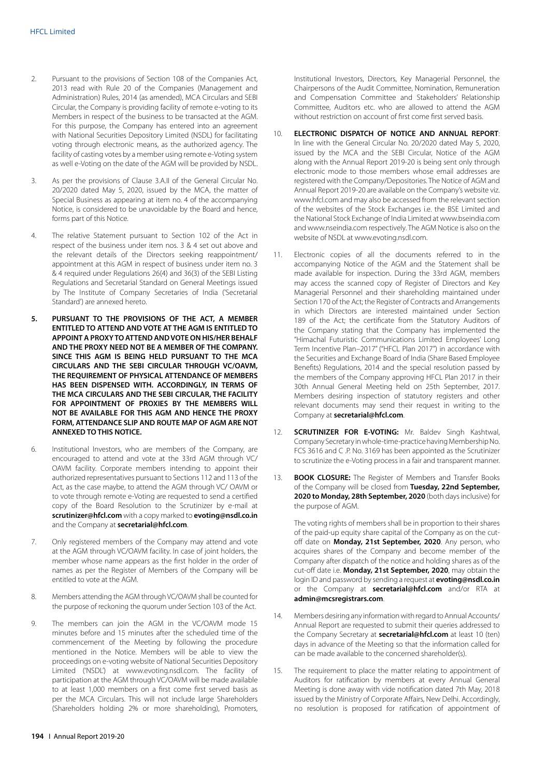- 2. Pursuant to the provisions of Section 108 of the Companies Act, 2013 read with Rule 20 of the Companies (Management and Administration) Rules, 2014 (as amended), MCA Circulars and SEBI Circular, the Company is providing facility of remote e-voting to its Members in respect of the business to be transacted at the AGM. For this purpose, the Company has entered into an agreement with National Securities Depository Limited (NSDL) for facilitating voting through electronic means, as the authorized agency. The facility of casting votes by a member using remote e-Voting system as well e-Voting on the date of the AGM will be provided by NSDL.
- 3. As per the provisions of Clause 3.A.II of the General Circular No. 20/2020 dated May 5, 2020, issued by the MCA, the matter of Special Business as appearing at item no. 4 of the accompanying Notice, is considered to be unavoidable by the Board and hence, forms part of this Notice.
- 4. The relative Statement pursuant to Section 102 of the Act in respect of the business under item nos. 3 & 4 set out above and the relevant details of the Directors seeking reappointment/ appointment at this AGM in respect of business under item no. 3 & 4 required under Regulations 26(4) and 36(3) of the SEBI Listing Regulations and Secretarial Standard on General Meetings issued by The Institute of Company Secretaries of India ('Secretarial Standard') are annexed hereto.
- **5. PURSUANT TO THE PROVISIONS OF THE ACT, A MEMBER ENTITLED TO ATTEND AND VOTE AT THE AGM IS ENTITLED TO APPOINT A PROXY TO ATTEND AND VOTE ON HIS/HER BEHALF AND THE PROXY NEED NOT BE A MEMBER OF THE COMPANY. SINCE THIS AGM IS BEING HELD PURSUANT TO THE MCA CIRCULARS AND THE SEBI CIRCULAR THROUGH VC/OAVM, THE REQUIREMENT OF PHYSICAL ATTENDANCE OF MEMBERS HAS BEEN DISPENSED WITH. ACCORDINGLY, IN TERMS OF THE MCA CIRCULARS AND THE SEBI CIRCULAR, THE FACILITY FOR APPOINTMENT OF PROXIES BY THE MEMBERS WILL NOT BE AVAILABLE FOR THIS AGM AND HENCE THE PROXY FORM, ATTENDANCE SLIP AND ROUTE MAP OF AGM ARE NOT ANNEXED TO THIS NOTICE.**
- 6. Institutional Investors, who are members of the Company, are encouraged to attend and vote at the 33rd AGM through VC/ OAVM facility. Corporate members intending to appoint their authorized representatives pursuant to Sections 112 and 113 of the Act, as the case maybe, to attend the AGM through VC/ OAVM or to vote through remote e-Voting are requested to send a certified copy of the Board Resolution to the Scrutinizer by e-mail at **scrutinizer@hfcl.com** with a copy marked to **evoting@nsdl.co.in** and the Company at **secretarial@hfcl.com**.
- 7. Only registered members of the Company may attend and vote at the AGM through VC/OAVM facility. In case of joint holders, the member whose name appears as the first holder in the order of names as per the Register of Members of the Company will be entitled to vote at the AGM.
- 8. Members attending the AGM through VC/OAVM shall be counted for the purpose of reckoning the quorum under Section 103 of the Act.
- 9. The members can join the AGM in the VC/OAVM mode 15 minutes before and 15 minutes after the scheduled time of the commencement of the Meeting by following the procedure mentioned in the Notice. Members will be able to view the proceedings on e-voting website of National Securities Depository Limited ('NSDL') at www.evoting.nsdl.com. The facility of participation at the AGM through VC/OAVM will be made available to at least 1,000 members on a first come first served basis as per the MCA Circulars. This will not include large Shareholders (Shareholders holding 2% or more shareholding), Promoters,

Institutional Investors, Directors, Key Managerial Personnel, the Chairpersons of the Audit Committee, Nomination, Remuneration and Compensation Committee and Stakeholders' Relationship Committee, Auditors etc. who are allowed to attend the AGM without restriction on account of first come first served basis.

- 10. **ELECTRONIC DISPATCH OF NOTICE AND ANNUAL REPORT**: In line with the General Circular No. 20/2020 dated May 5, 2020, issued by the MCA and the SEBI Circular, Notice of the AGM along with the Annual Report 2019-20 is being sent only through electronic mode to those members whose email addresses are registered with the Company/Depositories. The Notice of AGM and Annual Report 2019-20 are available on the Company's website viz. www.hfcl.com and may also be accessed from the relevant section of the websites of the Stock Exchanges i.e. the BSE Limited and the National Stock Exchange of India Limited at www.bseindia.com and www.nseindia.com respectively. The AGM Notice is also on the website of NSDL at www.evoting.nsdl.com.
- 11. Electronic copies of all the documents referred to in the accompanying Notice of the AGM and the Statement shall be made available for inspection. During the 33rd AGM, members may access the scanned copy of Register of Directors and Key Managerial Personnel and their shareholding maintained under Section 170 of the Act; the Register of Contracts and Arrangements in which Directors are interested maintained under Section 189 of the Act; the certificate from the Statutory Auditors of the Company stating that the Company has implemented the "Himachal Futuristic Communications Limited Employees' Long Term Incentive Plan–2017" ("HFCL Plan 2017") in accordance with the Securities and Exchange Board of India (Share Based Employee Benefits) Regulations, 2014 and the special resolution passed by the members of the Company approving HFCL Plan 2017 in their 30th Annual General Meeting held on 25th September, 2017. Members desiring inspection of statutory registers and other relevant documents may send their request in writing to the Company at **secretarial@hfcl.com**.
- 12. **SCRUTINIZER FOR E-VOTING:** Mr. Baldev Singh Kashtwal, Company Secretary in whole-time-practice having Membership No. FCS 3616 and C .P. No. 3169 has been appointed as the Scrutinizer to scrutinize the e-Voting process in a fair and transparent manner.
- 13. **BOOK CLOSURE:** The Register of Members and Transfer Books of the Company will be closed from **Tuesday, 22nd September, 2020 to Monday, 28th September, 2020** (both days inclusive) for the purpose of AGM.

The voting rights of members shall be in proportion to their shares of the paid-up equity share capital of the Company as on the cutoff date on **Monday, 21st September, 2020**. Any person, who acquires shares of the Company and become member of the Company after dispatch of the notice and holding shares as of the cut-off date i.e. **Monday, 21st September, 2020**, may obtain the login ID and password by sending a request at **evoting@nsdl.co.in** or the Company at **secretarial@hfcl.com** and/or RTA at **admin@mcsregistrars.com**.

- 14. Members desiring any information with regard to Annual Accounts/ Annual Report are requested to submit their queries addressed to the Company Secretary at **secretarial@hfcl.com** at least 10 (ten) days in advance of the Meeting so that the information called for can be made available to the concerned shareholder(s).
- 15. The requirement to place the matter relating to appointment of Auditors for ratification by members at every Annual General Meeting is done away with vide notification dated 7th May, 2018 issued by the Ministry of Corporate Affairs, New Delhi. Accordingly, no resolution is proposed for ratification of appointment of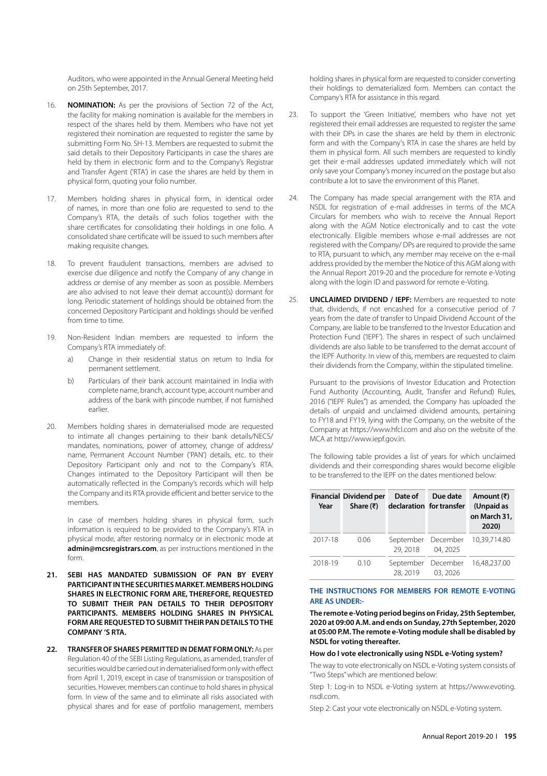Auditors, who were appointed in the Annual General Meeting held on 25th September, 2017.

- 16. **NOMINATION:** As per the provisions of Section 72 of the Act, the facility for making nomination is available for the members in respect of the shares held by them. Members who have not yet registered their nomination are requested to register the same by submitting Form No. SH-13. Members are requested to submit the said details to their Depository Participants in case the shares are held by them in electronic form and to the Company's Registrar and Transfer Agent ('RTA') in case the shares are held by them in physical form, quoting your folio number.
- 17. Members holding shares in physical form, in identical order of names, in more than one folio are requested to send to the Company's RTA, the details of such folios together with the share certificates for consolidating their holdings in one folio. A consolidated share certificate will be issued to such members after making requisite changes.
- 18. To prevent fraudulent transactions, members are advised to exercise due diligence and notify the Company of any change in address or demise of any member as soon as possible. Members are also advised to not leave their demat account(s) dormant for long. Periodic statement of holdings should be obtained from the concerned Depository Participant and holdings should be verified from time to time.
- 19. Non-Resident Indian members are requested to inform the Company's RTA immediately of:
	- a) Change in their residential status on return to India for permanent settlement.
	- b) Particulars of their bank account maintained in India with complete name, branch, account type, account number and address of the bank with pincode number, if not furnished earlier.
- 20. Members holding shares in dematerialised mode are requested to intimate all changes pertaining to their bank details/NECS/ mandates, nominations, power of attorney, change of address/ name, Permanent Account Number ('PAN') details, etc. to their Depository Participant only and not to the Company's RTA. Changes intimated to the Depository Participant will then be automatically reflected in the Company's records which will help the Company and its RTA provide efficient and better service to the members.

In case of members holding shares in physical form, such information is required to be provided to the Company's RTA in physical mode, after restoring normalcy or in electronic mode at **admin@mcsregistrars.com**, as per instructions mentioned in the form.

- **21. SEBI HAS MANDATED SUBMISSION OF PAN BY EVERY PARTICIPANT IN THE SECURITIES MARKET. MEMBERS HOLDING SHARES IN ELECTRONIC FORM ARE, THEREFORE, REQUESTED TO SUBMIT THEIR PAN DETAILS TO THEIR DEPOSITORY PARTICIPANTS. MEMBERS HOLDING SHARES IN PHYSICAL FORM ARE REQUESTED TO SUBMIT THEIR PAN DETAILS TO THE COMPANY 'S RTA.**
- **22. TRANSFER OF SHARES PERMITTED IN DEMAT FORM ONLY:** As per Regulation 40 of the SEBI Listing Regulations, as amended, transfer of securities would be carried out in dematerialised form only with effect from April 1, 2019, except in case of transmission or transposition of securities. However, members can continue to hold shares in physical form. In view of the same and to eliminate all risks associated with physical shares and for ease of portfolio management, members

holding shares in physical form are requested to consider converting their holdings to dematerialized form. Members can contact the Company's RTA for assistance in this regard.

- 23. To support the 'Green Initiative', members who have not yet registered their email addresses are requested to register the same with their DPs in case the shares are held by them in electronic form and with the Company's RTA in case the shares are held by them in physical form. All such members are requested to kindly get their e-mail addresses updated immediately which will not only save your Company's money incurred on the postage but also contribute a lot to save the environment of this Planet.
- 24. The Company has made special arrangement with the RTA and NSDL for registration of e-mail addresses in terms of the MCA Circulars for members who wish to receive the Annual Report along with the AGM Notice electronically and to cast the vote electronically. Eligible members whose e-mail addresses are not registered with the Company/ DPs are required to provide the same to RTA, pursuant to which, any member may receive on the e-mail address provided by the member the Notice of this AGM along with the Annual Report 2019-20 and the procedure for remote e-Voting along with the login ID and password for remote e-Voting.
- 25. **UNCLAIMED DIVIDEND / IEPF:** Members are requested to note that, dividends, if not encashed for a consecutive period of 7 years from the date of transfer to Unpaid Dividend Account of the Company, are liable to be transferred to the Investor Education and Protection Fund ('IEPF'). The shares in respect of such unclaimed dividends are also liable to be transferred to the demat account of the IEPF Authority. In view of this, members are requested to claim their dividends from the Company, within the stipulated timeline.

Pursuant to the provisions of Investor Education and Protection Fund Authority (Accounting, Audit, Transfer and Refund) Rules, 2016 ("IEPF Rules") as amended, the Company has uploaded the details of unpaid and unclaimed dividend amounts, pertaining to FY18 and FY19, lying with the Company, on the website of the Company at https://www.hfcl.com and also on the website of the MCA at http://www.iepf.gov.in.

The following table provides a list of years for which unclaimed dividends and their corresponding shares would become eligible to be transferred to the IEPF on the dates mentioned below:

| Year    | <b>Financial Dividend per</b><br>Share $(₹)$ | Date of<br>declaration for transfer | Due date | Amount (₹)<br>(Unpaid as<br>on March 31,<br>2020) |
|---------|----------------------------------------------|-------------------------------------|----------|---------------------------------------------------|
| 2017-18 | 0.06                                         | September December<br>29, 2018      | 04, 2025 | 10.39.714.80                                      |
| 2018-19 | 0.10                                         | September December<br>28, 2019      | 03, 2026 | 16,48,237.00                                      |

# **THE INSTRUCTIONS FOR MEMBERS FOR REMOTE E-VOTING ARE AS UNDER:-**

#### **The remote e-Voting period begins on Friday, 25th September, 2020 at 09:00 A.M. and ends on Sunday, 27th September, 2020 at 05:00 P.M. The remote e-Voting module shall be disabled by NSDL for voting thereafter.**

#### **How do I vote electronically using NSDL e-Voting system?**

The way to vote electronically on NSDL e-Voting system consists of "Two Steps" which are mentioned below:

Step 1: Log-in to NSDL e-Voting system at https://www.evoting. nsdl.com.

Step 2: Cast your vote electronically on NSDL e-Voting system.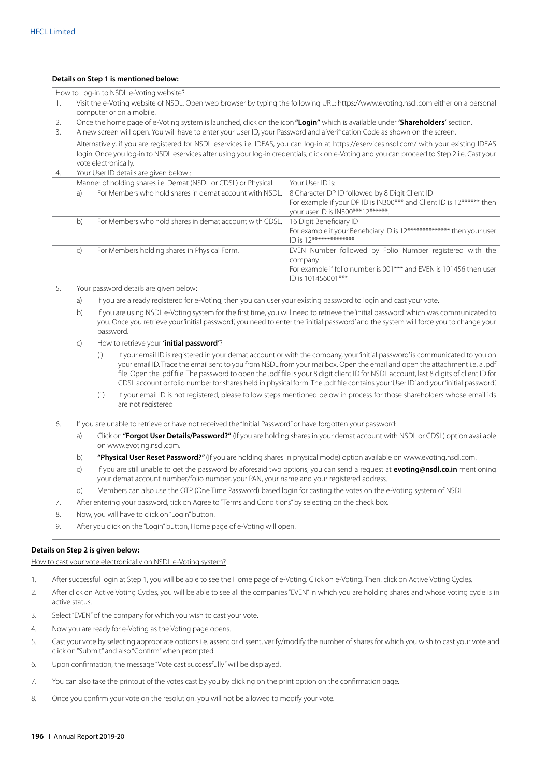#### **Details on Step 1 is mentioned below:**

| How to Log-in to NSDL e-Voting website? |                                                                                                                                                                                                                                                                                                                    |                                                                |                                                                                                                                                                 |  |  |
|-----------------------------------------|--------------------------------------------------------------------------------------------------------------------------------------------------------------------------------------------------------------------------------------------------------------------------------------------------------------------|----------------------------------------------------------------|-----------------------------------------------------------------------------------------------------------------------------------------------------------------|--|--|
| 1.                                      | Visit the e-Voting website of NSDL. Open web browser by typing the following URL: https://www.evoting.nsdl.com either on a personal<br>computer or on a mobile.                                                                                                                                                    |                                                                |                                                                                                                                                                 |  |  |
| 2.                                      | Once the home page of e-Voting system is launched, click on the icon "Login" which is available under 'Shareholders' section.                                                                                                                                                                                      |                                                                |                                                                                                                                                                 |  |  |
| 3.                                      | A new screen will open. You will have to enter your User ID, your Password and a Verification Code as shown on the screen.                                                                                                                                                                                         |                                                                |                                                                                                                                                                 |  |  |
|                                         | Alternatively, if you are registered for NSDL eservices i.e. IDEAS, you can log-in at https://eservices.nsdl.com/ with your existing IDEAS<br>login. Once you log-in to NSDL eservices after using your log-in credentials, click on e-Voting and you can proceed to Step 2 i.e. Cast your<br>vote electronically. |                                                                |                                                                                                                                                                 |  |  |
| 4.                                      |                                                                                                                                                                                                                                                                                                                    | Your User ID details are given below:                          |                                                                                                                                                                 |  |  |
|                                         |                                                                                                                                                                                                                                                                                                                    | Manner of holding shares i.e. Demat (NSDL or CDSL) or Physical | Your User ID is:                                                                                                                                                |  |  |
|                                         | a)                                                                                                                                                                                                                                                                                                                 | For Members who hold shares in demat account with NSDL.        | 8 Character DP ID followed by 8 Digit Client ID<br>For example if your DP ID is IN300*** and Client ID is 12****** then<br>your user ID is IN300***12******.    |  |  |
|                                         | b)                                                                                                                                                                                                                                                                                                                 | For Members who hold shares in demat account with CDSL.        | 16 Digit Beneficiary ID<br>For example if your Beneficiary ID is 12************** then your user<br>$ID$ is $12***************$                                 |  |  |
|                                         | $\mathsf{C}$                                                                                                                                                                                                                                                                                                       | For Members holding shares in Physical Form.                   | EVEN Number followed by Folio Number registered with the<br>company<br>For example if folio number is 001*** and EVEN is 101456 then user<br>ID is 101456001*** |  |  |

# 5. Your password details are given below:

a) If you are already registered for e-Voting, then you can user your existing password to login and cast your vote.

- b) If you are using NSDL e-Voting system for the first time, you will need to retrieve the 'initial password' which was communicated to you. Once you retrieve your 'initial password', you need to enter the 'initial password' and the system will force you to change your password.
- c) How to retrieve your **'initial password'**?
	- (i) If your email ID is registered in your demat account or with the company, your 'initial password' is communicated to you on your email ID. Trace the email sent to you from NSDL from your mailbox. Open the email and open the attachment i.e. a .pdf file. Open the .pdf file. The password to open the .pdf file is your 8 digit client ID for NSDL account, last 8 digits of client ID for CDSL account or folio number for shares held in physical form. The .pdf file contains your 'User ID' and your 'initial password'.
	- (ii) If your email ID is not registered, please follow steps mentioned below in process for those shareholders whose email ids are not registered
- 6. If you are unable to retrieve or have not received the "Initial Password" or have forgotten your password:
	- a) Click on **"Forgot User Details/Password?"** (If you are holding shares in your demat account with NSDL or CDSL) option available on www.evoting.nsdl.com.
	- b) **"Physical User Reset Password?"** (If you are holding shares in physical mode) option available on www.evoting.nsdl.com.
	- c) If you are still unable to get the password by aforesaid two options, you can send a request at **evoting@nsdl.co.in** mentioning your demat account number/folio number, your PAN, your name and your registered address.
	- d) Members can also use the OTP (One Time Password) based login for casting the votes on the e-Voting system of NSDL.
- 7. After entering your password, tick on Agree to "Terms and Conditions" by selecting on the check box.
- 8. Now, you will have to click on "Login" button.
- 9. After you click on the "Login" button, Home page of e-Voting will open.

## **Details on Step 2 is given below:**

How to cast your vote electronically on NSDL e-Voting system?

- 1. After successful login at Step 1, you will be able to see the Home page of e-Voting. Click on e-Voting. Then, click on Active Voting Cycles.
- 2. After click on Active Voting Cycles, you will be able to see all the companies "EVEN" in which you are holding shares and whose voting cycle is in active status.
- 3. Select "EVEN" of the company for which you wish to cast your vote.
- 4. Now you are ready for e-Voting as the Voting page opens.
- 5. Cast your vote by selecting appropriate options i.e. assent or dissent, verify/modify the number of shares for which you wish to cast your vote and click on "Submit" and also "Confirm" when prompted.
- 6. Upon confirmation, the message "Vote cast successfully" will be displayed.
- 7. You can also take the printout of the votes cast by you by clicking on the print option on the confirmation page.
- 8. Once you confirm your vote on the resolution, you will not be allowed to modify your vote.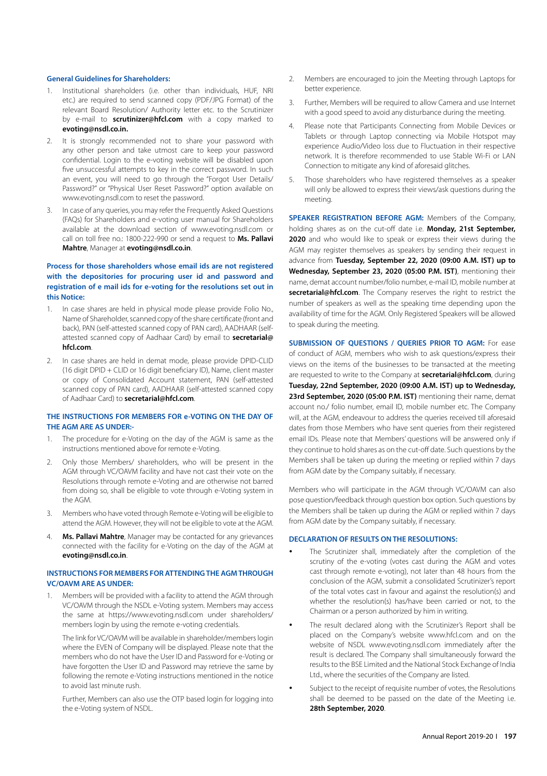#### **General Guidelines for Shareholders:**

- 1. Institutional shareholders (i.e. other than individuals, HUF, NRI etc.) are required to send scanned copy (PDF/JPG Format) of the relevant Board Resolution/ Authority letter etc. to the Scrutinizer by e-mail to **scrutinizer@hfcl.com** with a copy marked to **evoting@nsdl.co.in.**
- 2. It is strongly recommended not to share your password with any other person and take utmost care to keep your password confidential. Login to the e-voting website will be disabled upon five unsuccessful attempts to key in the correct password. In such an event, you will need to go through the "Forgot User Details/ Password?" or "Physical User Reset Password?" option available on www.evoting.nsdl.com to reset the password.
- 3. In case of any queries, you may refer the Frequently Asked Questions (FAQs) for Shareholders and e-voting user manual for Shareholders available at the download section of www.evoting.nsdl.com or call on toll free no.: 1800-222-990 or send a request to **Ms. Pallavi Mahtre**, Manager at **evoting@nsdl.co.in**.

# **Process for those shareholders whose email ids are not registered with the depositories for procuring user id and password and registration of e mail ids for e-voting for the resolutions set out in this Notice:**

- 1. In case shares are held in physical mode please provide Folio No., Name of Shareholder, scanned copy of the share certificate (front and back), PAN (self-attested scanned copy of PAN card), AADHAAR (selfattested scanned copy of Aadhaar Card) by email to **secretarial@ hfcl.com**.
- 2. In case shares are held in demat mode, please provide DPID-CLID (16 digit DPID + CLID or 16 digit beneficiary ID), Name, client master or copy of Consolidated Account statement, PAN (self-attested scanned copy of PAN card), AADHAAR (self-attested scanned copy of Aadhaar Card) to **secretarial@hfcl.com**.

# **THE INSTRUCTIONS FOR MEMBERS FOR e-VOTING ON THE DAY OF THE AGM ARE AS UNDER:-**

- 1. The procedure for e-Voting on the day of the AGM is same as the instructions mentioned above for remote e-Voting.
- 2. Only those Members/ shareholders, who will be present in the AGM through VC/OAVM facility and have not cast their vote on the Resolutions through remote e-Voting and are otherwise not barred from doing so, shall be eligible to vote through e-Voting system in the AGM.
- 3. Members who have voted through Remote e-Voting will be eligible to attend the AGM. However, they will not be eligible to vote at the AGM.
- 4. **Ms. Pallavi Mahtre**, Manager may be contacted for any grievances connected with the facility for e-Voting on the day of the AGM at **evoting@nsdl.co.in**.

#### **INSTRUCTIONS FOR MEMBERS FOR ATTENDING THE AGM THROUGH VC/OAVM ARE AS UNDER:**

1. Members will be provided with a facility to attend the AGM through VC/OAVM through the NSDL e-Voting system. Members may access the same at https://www.evoting.nsdl.com under shareholders/ members login by using the remote e-voting credentials.

The link for VC/OAVM will be available in shareholder/members login where the EVEN of Company will be displayed. Please note that the members who do not have the User ID and Password for e-Voting or have forgotten the User ID and Password may retrieve the same by following the remote e-Voting instructions mentioned in the notice to avoid last minute rush.

Further, Members can also use the OTP based login for logging into the e-Voting system of NSDL.

- 2. Members are encouraged to join the Meeting through Laptops for better experience.
- 3. Further, Members will be required to allow Camera and use Internet with a good speed to avoid any disturbance during the meeting.
- 4. Please note that Participants Connecting from Mobile Devices or Tablets or through Laptop connecting via Mobile Hotspot may experience Audio/Video loss due to Fluctuation in their respective network. It is therefore recommended to use Stable Wi-Fi or LAN Connection to mitigate any kind of aforesaid glitches.
- 5. Those shareholders who have registered themselves as a speaker will only be allowed to express their views/ask questions during the meeting.

**SPEAKER REGISTRATION BEFORE AGM:** Members of the Company, holding shares as on the cut-off date i.e. **Monday, 21st September, 2020** and who would like to speak or express their views during the AGM may register themselves as speakers by sending their request in advance from **Tuesday, September 22, 2020 (09:00 A.M. IST) up to Wednesday, September 23, 2020 (05:00 P.M. IST)**, mentioning their name, demat account number/folio number, e-mail ID, mobile number at **secretarial@hfcl.com**. The Company reserves the right to restrict the number of speakers as well as the speaking time depending upon the availability of time for the AGM. Only Registered Speakers will be allowed to speak during the meeting.

**SUBMISSION OF QUESTIONS / QUERIES PRIOR TO AGM:** For ease of conduct of AGM, members who wish to ask questions/express their views on the items of the businesses to be transacted at the meeting are requested to write to the Company at **secretarial@hfcl.com**, during **Tuesday, 22nd September, 2020 (09:00 A.M. IST) up to Wednesday, 23rd September, 2020 (05:00 P.M. IST)** mentioning their name, demat account no./ folio number, email ID, mobile number etc. The Company will, at the AGM, endeavour to address the queries received till aforesaid dates from those Members who have sent queries from their registered email IDs. Please note that Members' questions will be answered only if they continue to hold shares as on the cut-off date. Such questions by the Members shall be taken up during the meeting or replied within 7 days from AGM date by the Company suitably, if necessary.

Members who will participate in the AGM through VC/OAVM can also pose question/feedback through question box option. Such questions by the Members shall be taken up during the AGM or replied within 7 days from AGM date by the Company suitably, if necessary.

#### **DECLARATION OF RESULTS ON THE RESOLUTIONS:**

- The Scrutinizer shall, immediately after the completion of the scrutiny of the e-voting (votes cast during the AGM and votes cast through remote e-voting), not later than 48 hours from the conclusion of the AGM, submit a consolidated Scrutinizer's report of the total votes cast in favour and against the resolution(s) and whether the resolution(s) has/have been carried or not, to the Chairman or a person authorized by him in writing.
- The result declared along with the Scrutinizer's Report shall be placed on the Company's website www.hfcl.com and on the website of NSDL www.evoting.nsdl.com immediately after the result is declared. The Company shall simultaneously forward the results to the BSE Limited and the National Stock Exchange of India Ltd., where the securities of the Company are listed.
- Subject to the receipt of requisite number of votes, the Resolutions shall be deemed to be passed on the date of the Meeting i.e. **28th September, 2020**.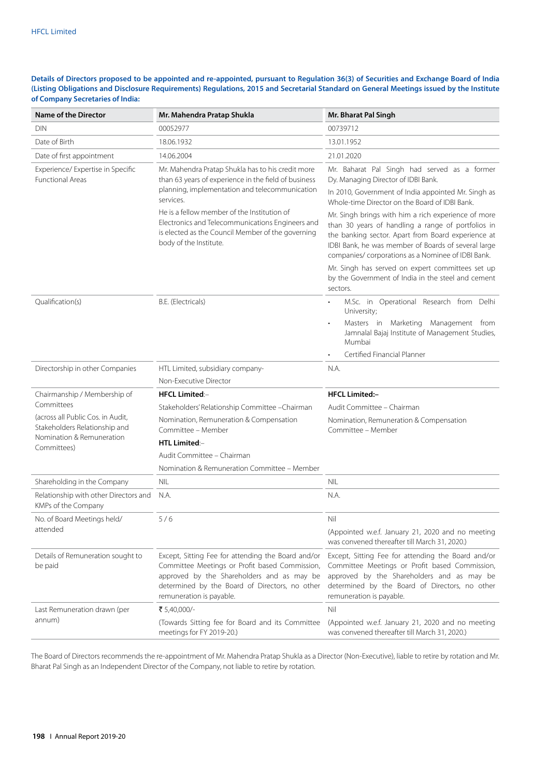# **Details of Directors proposed to be appointed and re-appointed, pursuant to Regulation 36(3) of Securities and Exchange Board of India (Listing Obligations and Disclosure Requirements) Regulations, 2015 and Secretarial Standard on General Meetings issued by the Institute of Company Secretaries of India:**

| <b>Name of the Director</b>                                                                     | Mr. Mahendra Pratap Shukla                                                                                                                                                                                                                                                                                                                                 | Mr. Bharat Pal Singh                                                                                                                                                                                                                                                                                                                                                                                                                                                         |  |
|-------------------------------------------------------------------------------------------------|------------------------------------------------------------------------------------------------------------------------------------------------------------------------------------------------------------------------------------------------------------------------------------------------------------------------------------------------------------|------------------------------------------------------------------------------------------------------------------------------------------------------------------------------------------------------------------------------------------------------------------------------------------------------------------------------------------------------------------------------------------------------------------------------------------------------------------------------|--|
| <b>DIN</b>                                                                                      | 00052977                                                                                                                                                                                                                                                                                                                                                   | 00739712                                                                                                                                                                                                                                                                                                                                                                                                                                                                     |  |
| Date of Birth                                                                                   | 18.06.1932                                                                                                                                                                                                                                                                                                                                                 | 13.01.1952                                                                                                                                                                                                                                                                                                                                                                                                                                                                   |  |
| Date of first appointment                                                                       | 14.06.2004                                                                                                                                                                                                                                                                                                                                                 | 21.01.2020                                                                                                                                                                                                                                                                                                                                                                                                                                                                   |  |
| Experience/ Expertise in Specific<br><b>Functional Areas</b>                                    | Mr. Mahendra Pratap Shukla has to his credit more<br>than 63 years of experience in the field of business<br>planning, implementation and telecommunication<br>services.<br>He is a fellow member of the Institution of<br>Electronics and Telecommunications Engineers and<br>is elected as the Council Member of the governing<br>body of the Institute. | Mr. Baharat Pal Singh had served as a former<br>Dy. Managing Director of IDBI Bank.<br>In 2010, Government of India appointed Mr. Singh as<br>Whole-time Director on the Board of IDBI Bank.<br>Mr. Singh brings with him a rich experience of more<br>than 30 years of handling a range of portfolios in<br>the banking sector. Apart from Board experience at<br>IDBI Bank, he was member of Boards of several large<br>companies/ corporations as a Nominee of IDBI Bank. |  |
|                                                                                                 |                                                                                                                                                                                                                                                                                                                                                            | Mr. Singh has served on expert committees set up<br>by the Government of India in the steel and cement<br>sectors.                                                                                                                                                                                                                                                                                                                                                           |  |
| Qualification(s)                                                                                | B.E. (Electricals)                                                                                                                                                                                                                                                                                                                                         | M.Sc. in Operational Research from Delhi<br>University;<br>Masters in Marketing Management from<br>Jamnalal Bajaj Institute of Management Studies,<br>Mumbai                                                                                                                                                                                                                                                                                                                 |  |
|                                                                                                 |                                                                                                                                                                                                                                                                                                                                                            | Certified Financial Planner                                                                                                                                                                                                                                                                                                                                                                                                                                                  |  |
| Directorship in other Companies                                                                 | HTL Limited, subsidiary company-                                                                                                                                                                                                                                                                                                                           | N.A.                                                                                                                                                                                                                                                                                                                                                                                                                                                                         |  |
|                                                                                                 | Non-Executive Director                                                                                                                                                                                                                                                                                                                                     |                                                                                                                                                                                                                                                                                                                                                                                                                                                                              |  |
| Chairmanship / Membership of                                                                    | <b>HFCL Limited:-</b>                                                                                                                                                                                                                                                                                                                                      | <b>HFCL Limited:-</b>                                                                                                                                                                                                                                                                                                                                                                                                                                                        |  |
| Committees                                                                                      | Stakeholders' Relationship Committee - Chairman                                                                                                                                                                                                                                                                                                            | Audit Committee - Chairman                                                                                                                                                                                                                                                                                                                                                                                                                                                   |  |
| (across all Public Cos. in Audit,<br>Stakeholders Relationship and<br>Nomination & Remuneration | Nomination, Remuneration & Compensation<br>Committee - Member                                                                                                                                                                                                                                                                                              | Nomination, Remuneration & Compensation<br>Committee - Member                                                                                                                                                                                                                                                                                                                                                                                                                |  |
| Committees)                                                                                     | <b>HTL Limited:-</b>                                                                                                                                                                                                                                                                                                                                       |                                                                                                                                                                                                                                                                                                                                                                                                                                                                              |  |
|                                                                                                 | Audit Committee - Chairman                                                                                                                                                                                                                                                                                                                                 |                                                                                                                                                                                                                                                                                                                                                                                                                                                                              |  |
|                                                                                                 | Nomination & Remuneration Committee - Member                                                                                                                                                                                                                                                                                                               |                                                                                                                                                                                                                                                                                                                                                                                                                                                                              |  |
| Shareholding in the Company                                                                     | <b>NIL</b>                                                                                                                                                                                                                                                                                                                                                 | <b>NIL</b>                                                                                                                                                                                                                                                                                                                                                                                                                                                                   |  |
| Relationship with other Directors and<br>KMPs of the Company                                    | N.A.                                                                                                                                                                                                                                                                                                                                                       | N.A.                                                                                                                                                                                                                                                                                                                                                                                                                                                                         |  |
| No. of Board Meetings held/                                                                     | 5/6                                                                                                                                                                                                                                                                                                                                                        | Nil                                                                                                                                                                                                                                                                                                                                                                                                                                                                          |  |
| attended                                                                                        |                                                                                                                                                                                                                                                                                                                                                            | (Appointed w.e.f. January 21, 2020 and no meeting<br>was convened thereafter till March 31, 2020.)                                                                                                                                                                                                                                                                                                                                                                           |  |
| Details of Remuneration sought to<br>be paid                                                    | Except, Sitting Fee for attending the Board and/or<br>Committee Meetings or Profit based Commission,<br>approved by the Shareholders and as may be<br>determined by the Board of Directors, no other<br>remuneration is payable.                                                                                                                           | Except, Sitting Fee for attending the Board and/or<br>Committee Meetings or Profit based Commission,<br>approved by the Shareholders and as may be<br>determined by the Board of Directors, no other<br>remuneration is payable.                                                                                                                                                                                                                                             |  |
| Last Remuneration drawn (per                                                                    | ₹ 5,40,000/-                                                                                                                                                                                                                                                                                                                                               | Nil                                                                                                                                                                                                                                                                                                                                                                                                                                                                          |  |
| annum)                                                                                          | (Towards Sitting fee for Board and its Committee<br>meetings for FY 2019-20.)                                                                                                                                                                                                                                                                              | (Appointed w.e.f. January 21, 2020 and no meeting<br>was convened thereafter till March 31, 2020.)                                                                                                                                                                                                                                                                                                                                                                           |  |

The Board of Directors recommends the re-appointment of Mr. Mahendra Pratap Shukla as a Director (Non-Executive), liable to retire by rotation and Mr. Bharat Pal Singh as an Independent Director of the Company, not liable to retire by rotation.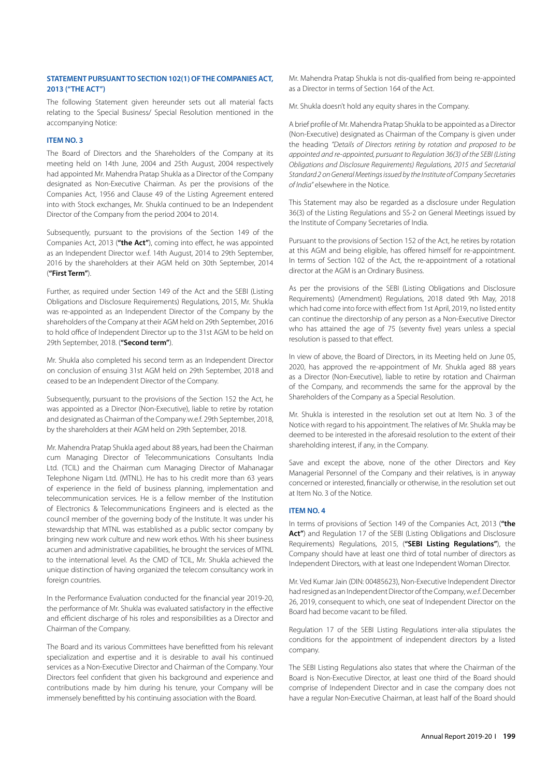# **STATEMENT PURSUANT TO SECTION 102(1) OF THE COMPANIES ACT, 2013 ("THE ACT")**

The following Statement given hereunder sets out all material facts relating to the Special Business/ Special Resolution mentioned in the accompanying Notice:

# **ITEM NO. 3**

The Board of Directors and the Shareholders of the Company at its meeting held on 14th June, 2004 and 25th August, 2004 respectively had appointed Mr. Mahendra Pratap Shukla as a Director of the Company designated as Non-Executive Chairman. As per the provisions of the Companies Act, 1956 and Clause 49 of the Listing Agreement entered into with Stock exchanges, Mr. Shukla continued to be an Independent Director of the Company from the period 2004 to 2014.

Subsequently, pursuant to the provisions of the Section 149 of the Companies Act, 2013 (**"the Act"**), coming into effect, he was appointed as an Independent Director w.e.f. 14th August, 2014 to 29th September, 2016 by the shareholders at their AGM held on 30th September, 2014 (**"First Term"**).

Further, as required under Section 149 of the Act and the SEBI (Listing Obligations and Disclosure Requirements) Regulations, 2015, Mr. Shukla was re-appointed as an Independent Director of the Company by the shareholders of the Company at their AGM held on 29th September, 2016 to hold office of Independent Director up to the 31st AGM to be held on 29th September, 2018. (**"Second term"**).

Mr. Shukla also completed his second term as an Independent Director on conclusion of ensuing 31st AGM held on 29th September, 2018 and ceased to be an Independent Director of the Company.

Subsequently, pursuant to the provisions of the Section 152 the Act, he was appointed as a Director (Non-Executive), liable to retire by rotation and designated as Chairman of the Company w.e.f. 29th September, 2018, by the shareholders at their AGM held on 29th September, 2018.

Mr. Mahendra Pratap Shukla aged about 88 years, had been the Chairman cum Managing Director of Telecommunications Consultants India Ltd. (TCIL) and the Chairman cum Managing Director of Mahanagar Telephone Nigam Ltd. (MTNL). He has to his credit more than 63 years of experience in the field of business planning, implementation and telecommunication services. He is a fellow member of the Institution of Electronics & Telecommunications Engineers and is elected as the council member of the governing body of the Institute. It was under his stewardship that MTNL was established as a public sector company by bringing new work culture and new work ethos. With his sheer business acumen and administrative capabilities, he brought the services of MTNL to the international level. As the CMD of TCIL, Mr. Shukla achieved the unique distinction of having organized the telecom consultancy work in foreign countries.

In the Performance Evaluation conducted for the financial year 2019-20, the performance of Mr. Shukla was evaluated satisfactory in the effective and efficient discharge of his roles and responsibilities as a Director and Chairman of the Company.

The Board and its various Committees have benefitted from his relevant specialization and expertise and it is desirable to avail his continued services as a Non-Executive Director and Chairman of the Company. Your Directors feel confident that given his background and experience and contributions made by him during his tenure, your Company will be immensely benefitted by his continuing association with the Board.

Mr. Mahendra Pratap Shukla is not dis-qualified from being re-appointed as a Director in terms of Section 164 of the Act.

Mr. Shukla doesn't hold any equity shares in the Company.

A brief profile of Mr. Mahendra Pratap Shukla to be appointed as a Director (Non-Executive) designated as Chairman of the Company is given under the heading *"Details of Directors retiring by rotation and proposed to be appointed and re-appointed, pursuant to Regulation 36(3) of the SEBI (Listing Obligations and Disclosure Requirements) Regulations, 2015 and Secretarial Standard 2 on General Meetings issued by the Institute of Company Secretaries of India"* elsewhere in the Notice.

This Statement may also be regarded as a disclosure under Regulation 36(3) of the Listing Regulations and SS-2 on General Meetings issued by the Institute of Company Secretaries of India.

Pursuant to the provisions of Section 152 of the Act, he retires by rotation at this AGM and being eligible, has offered himself for re-appointment. In terms of Section 102 of the Act, the re-appointment of a rotational director at the AGM is an Ordinary Business.

As per the provisions of the SEBI (Listing Obligations and Disclosure Requirements) (Amendment) Regulations, 2018 dated 9th May, 2018 which had come into force with effect from 1st April, 2019, no listed entity can continue the directorship of any person as a Non-Executive Director who has attained the age of 75 (seventy five) years unless a special resolution is passed to that effect.

In view of above, the Board of Directors, in its Meeting held on June 05, 2020, has approved the re-appointment of Mr. Shukla aged 88 years as a Director (Non-Executive), liable to retire by rotation and Chairman of the Company, and recommends the same for the approval by the Shareholders of the Company as a Special Resolution.

Mr. Shukla is interested in the resolution set out at Item No. 3 of the Notice with regard to his appointment. The relatives of Mr. Shukla may be deemed to be interested in the aforesaid resolution to the extent of their shareholding interest, if any, in the Company.

Save and except the above, none of the other Directors and Key Managerial Personnel of the Company and their relatives, is in anyway concerned or interested, financially or otherwise, in the resolution set out at Item No. 3 of the Notice.

## **ITEM NO. 4**

In terms of provisions of Section 149 of the Companies Act, 2013 (**"the**  Act") and Regulation 17 of the SEBI (Listing Obligations and Disclosure Requirements) Regulations, 2015, (**"SEBI Listing Regulations"**), the Company should have at least one third of total number of directors as Independent Directors, with at least one Independent Woman Director.

Mr. Ved Kumar Jain (DIN: 00485623), Non-Executive Independent Director had resigned as an Independent Director of the Company, w.e.f. December 26, 2019, consequent to which, one seat of Independent Director on the Board had become vacant to be filled.

Regulation 17 of the SEBI Listing Regulations inter-alia stipulates the conditions for the appointment of independent directors by a listed company.

The SEBI Listing Regulations also states that where the Chairman of the Board is Non-Executive Director, at least one third of the Board should comprise of Independent Director and in case the company does not have a regular Non-Executive Chairman, at least half of the Board should